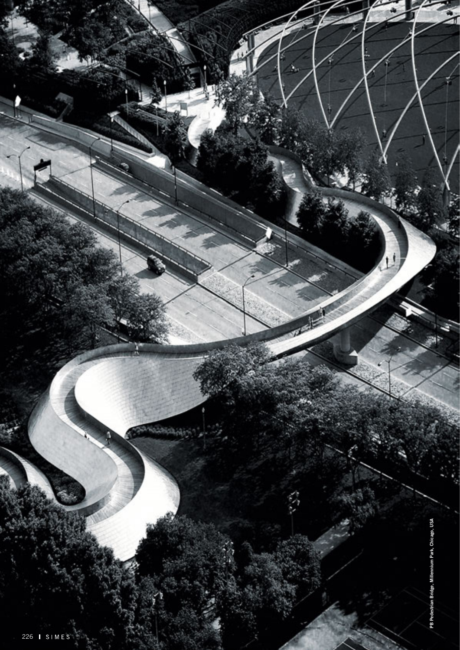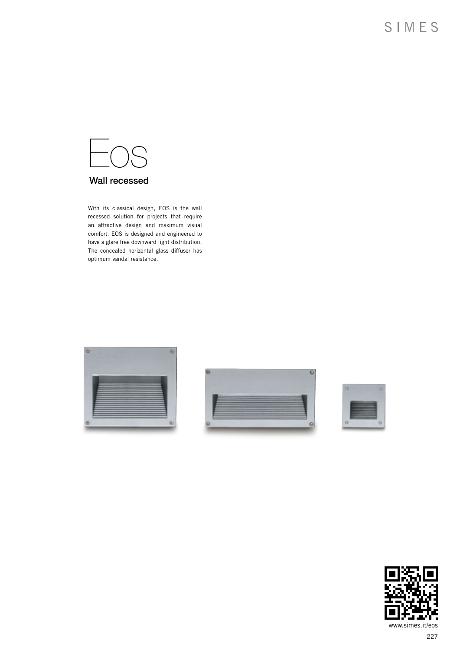

## Wall recessed

With its classical design, EOS is the wall recessed solution for projects that require an attractive design and maximum visual comfort. EOS is designed and engineered to have a glare free downward light distribution. The concealed horizontal glass diffuser has optimum vandal resistance.







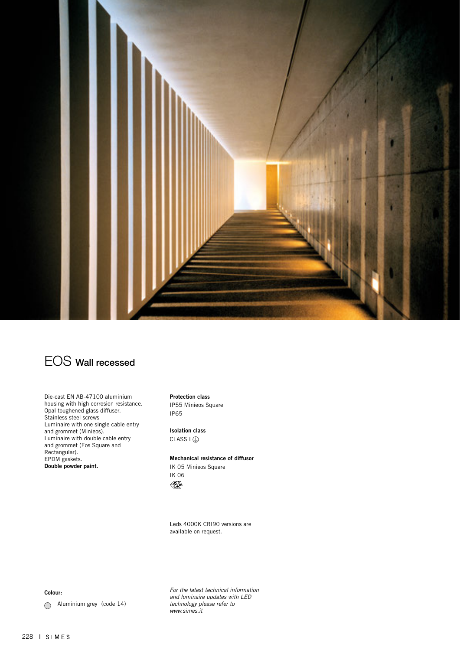

# EOS Wall recessed

Die-cast EN AB-47100 aluminium housing with high corrosion resistance. Opal toughened glass diffuser. Stainless steel screws Luminaire with one single cable entry and grommet (Minieos). Luminaire with double cable entry and grommet (Eos Square and Rectangular). EPDM gaskets. Double powder paint.

Protection class IP55 Minieos Square IP65

Isolation class  $CLASS I @$ 

Mechanical resistance of diffusor

IK 05 Minieos Square IK 06  $\mathscr{K}_{\mathbf{G}}$ 

Leds 4000K CRI90 versions are available on request.

Colour:

Aluminium grey (code 14)

*For the latest technical information and luminaire updates with LED technology please refer to www.simes.it*